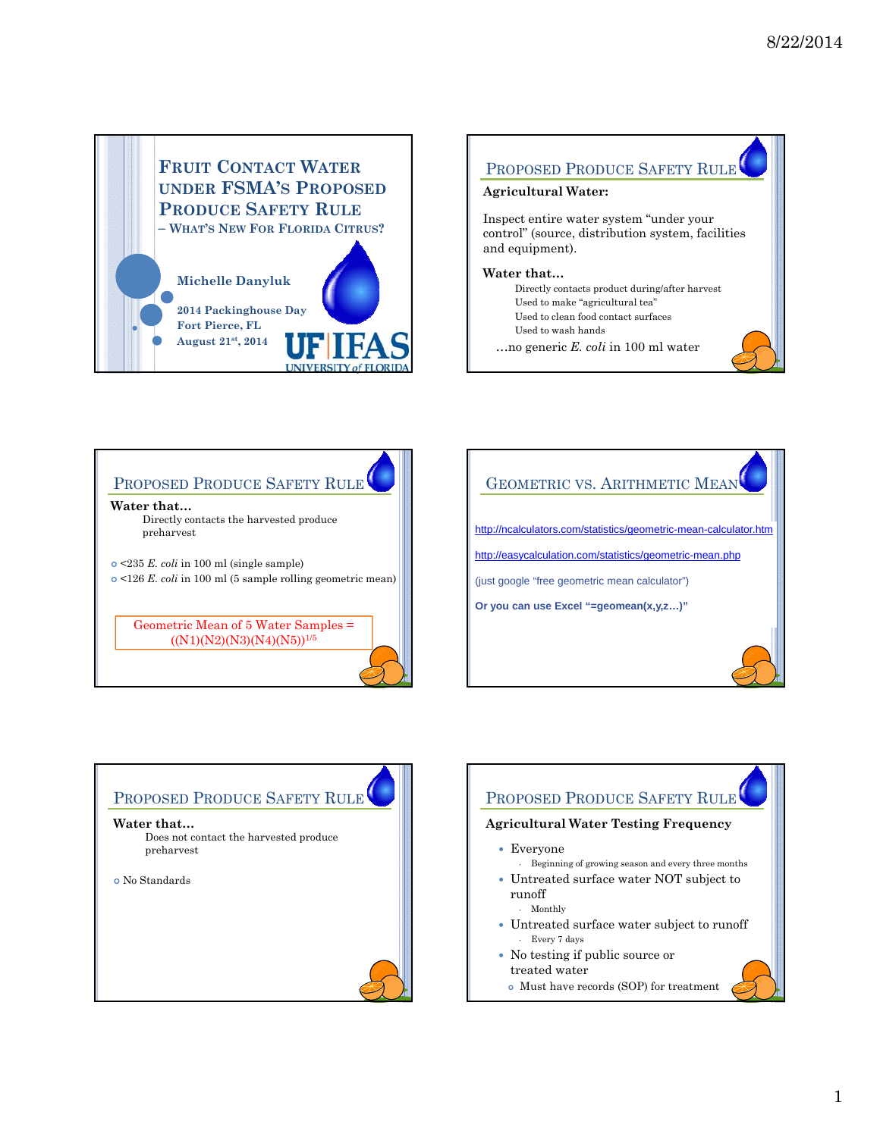

## PROPOSED PRODUCE SAFETY RULE

### **Agricultural Water:**

Inspect entire water system "under your control" (source, distribution system, facilities and equipment).

#### **Water that…**

- Directly contacts product during/after harvest Used to make "agricultural tea" Used to clean food contact surfaces
- Used to wash hands
- …no generic *E. coli* in 100 ml water